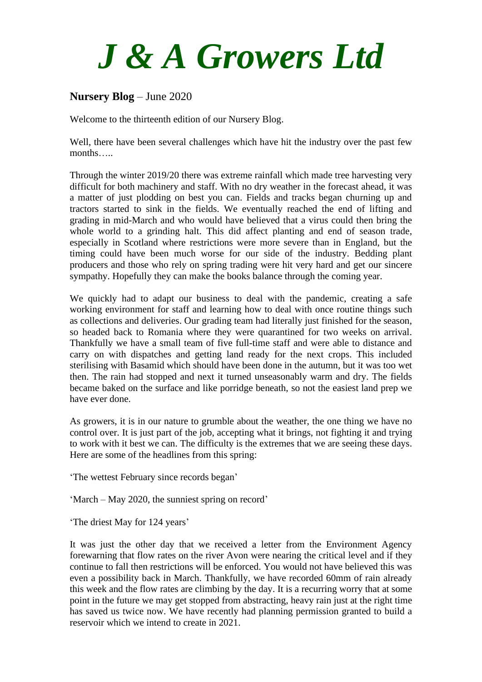## *J & A Growers Ltd*

## **Nursery Blog** – June 2020

Welcome to the thirteenth edition of our Nursery Blog.

Well, there have been several challenges which have hit the industry over the past few months…..

Through the winter 2019/20 there was extreme rainfall which made tree harvesting very difficult for both machinery and staff. With no dry weather in the forecast ahead, it was a matter of just plodding on best you can. Fields and tracks began churning up and tractors started to sink in the fields. We eventually reached the end of lifting and grading in mid-March and who would have believed that a virus could then bring the whole world to a grinding halt. This did affect planting and end of season trade, especially in Scotland where restrictions were more severe than in England, but the timing could have been much worse for our side of the industry. Bedding plant producers and those who rely on spring trading were hit very hard and get our sincere sympathy. Hopefully they can make the books balance through the coming year.

We quickly had to adapt our business to deal with the pandemic, creating a safe working environment for staff and learning how to deal with once routine things such as collections and deliveries. Our grading team had literally just finished for the season, so headed back to Romania where they were quarantined for two weeks on arrival. Thankfully we have a small team of five full-time staff and were able to distance and carry on with dispatches and getting land ready for the next crops. This included sterilising with Basamid which should have been done in the autumn, but it was too wet then. The rain had stopped and next it turned unseasonably warm and dry. The fields became baked on the surface and like porridge beneath, so not the easiest land prep we have ever done.

As growers, it is in our nature to grumble about the weather, the one thing we have no control over. It is just part of the job, accepting what it brings, not fighting it and trying to work with it best we can. The difficulty is the extremes that we are seeing these days. Here are some of the headlines from this spring:

'The wettest February since records began'

'March – May 2020, the sunniest spring on record'

'The driest May for 124 years'

It was just the other day that we received a letter from the Environment Agency forewarning that flow rates on the river Avon were nearing the critical level and if they continue to fall then restrictions will be enforced. You would not have believed this was even a possibility back in March. Thankfully, we have recorded 60mm of rain already this week and the flow rates are climbing by the day. It is a recurring worry that at some point in the future we may get stopped from abstracting, heavy rain just at the right time has saved us twice now. We have recently had planning permission granted to build a reservoir which we intend to create in 2021.